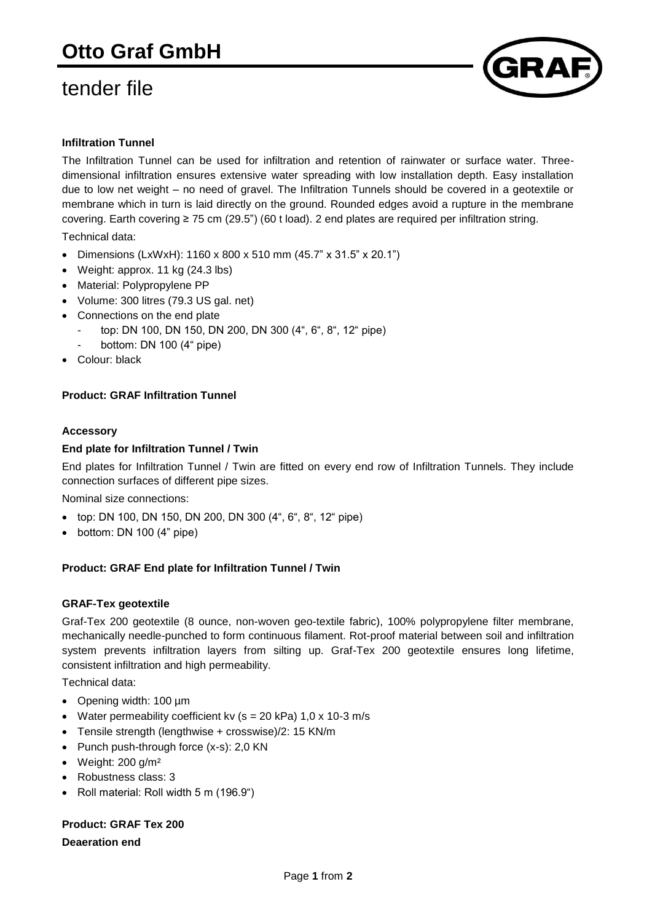## tender file



#### **Infiltration Tunnel**

The Infiltration Tunnel can be used for infiltration and retention of rainwater or surface water. Threedimensional infiltration ensures extensive water spreading with low installation depth. Easy installation due to low net weight – no need of gravel. The Infiltration Tunnels should be covered in a geotextile or membrane which in turn is laid directly on the ground. Rounded edges avoid a rupture in the membrane covering. Earth covering ≥ 75 cm (29.5") (60 t load). 2 end plates are required per infiltration string.

Technical data:

- Dimensions (LxWxH): 1160 x 800 x 510 mm (45.7" x 31.5" x 20.1")
- Weight: approx. 11 kg (24.3 lbs)
- Material: Polypropylene PP
- Volume: 300 litres (79.3 US gal. net)
- Connections on the end plate
	- top: DN 100, DN 150, DN 200, DN 300 (4", 6", 8", 12" pipe)
	- bottom: DN 100 (4" pipe)
- Colour: black

#### **Product: GRAF Infiltration Tunnel**

#### **Accessory**

#### **End plate for Infiltration Tunnel / Twin**

End plates for Infiltration Tunnel / Twin are fitted on every end row of Infiltration Tunnels. They include connection surfaces of different pipe sizes.

Nominal size connections:

- top: DN 100, DN 150, DN 200, DN 300 (4", 6", 8", 12" pipe)
- $\bullet$  bottom: DN 100 (4" pipe)

#### **Product: GRAF End plate for Infiltration Tunnel / Twin**

#### **GRAF-Tex geotextile**

Graf-Tex 200 geotextile (8 ounce, non-woven geo-textile fabric), 100% polypropylene filter membrane, mechanically needle-punched to form continuous filament. Rot-proof material between soil and infiltration system prevents infiltration layers from silting up. Graf-Tex 200 geotextile ensures long lifetime, consistent infiltration and high permeability.

Technical data:

- Opening width: 100 µm
- Water permeability coefficient kv ( $s = 20$  kPa) 1,0 x 10-3 m/s
- Tensile strength (lengthwise + crosswise)/2: 15 KN/m
- Punch push-through force  $(x-s)$ : 2,0 KN
- $\bullet$  Weight: 200 g/m<sup>2</sup>
- Robustness class: 3
- Roll material: Roll width 5 m (196.9")

### **Product: GRAF Tex 200**

**Deaeration end**